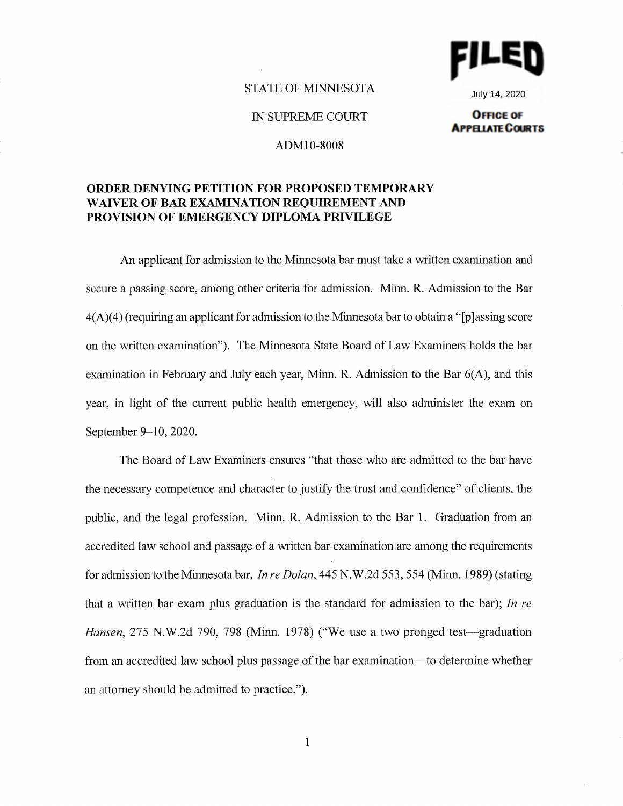

July 14, 2020**OFFICE OF** 

**APPELATE COURTS** 

## STATE OF MINNESOTA

IN SUPREME COURT

## ADMl0-8008

## **ORDER DENYING PETITION FOR PROPOSED TEMPORARY WAIVER OF BAR EXAMINATION REQUIREMENT AND PROVISION OF EMERGENCY DIPLOMA PRIVILEGE**

An applicant for admission to the Minnesota bar must take a written examination and secure a passing score, among other criteria for admission. Minn. R. Admission to the Bar  $4(A)(4)$  (requiring an applicant for admission to the Minnesota bar to obtain a "[p] assing score on the written examination"). The Minnesota State Board of Law Examiners holds the bar examination in February and July each year, Minn. R. Admission to the Bar  $6(A)$ , and this year, in light of the current public health emergency, will also administer the exam on September 9-10, 2020.

The Board of Law Examiners ensures "that those who are admitted to the bar have the necessary competence and character to justify the trust and confidence" of clients, the public, and the legal profession. Minn. R. Admission to the Bar 1. Graduation from an accredited law school and passage of a written bar examination are among the requirements for admission to the Minnesota bar. *In re Dolan,* 445 N.W.2d 553,554 (Minn. 1989) (stating that a written bar exam plus graduation is the standard for admission to the bar); *In re Hansen*, 275 N.W.2d 790, 798 (Minn. 1978) ("We use a two pronged test—graduation from an accredited law school plus passage of the bar examination-to determine whether an attorney should be admitted to practice.").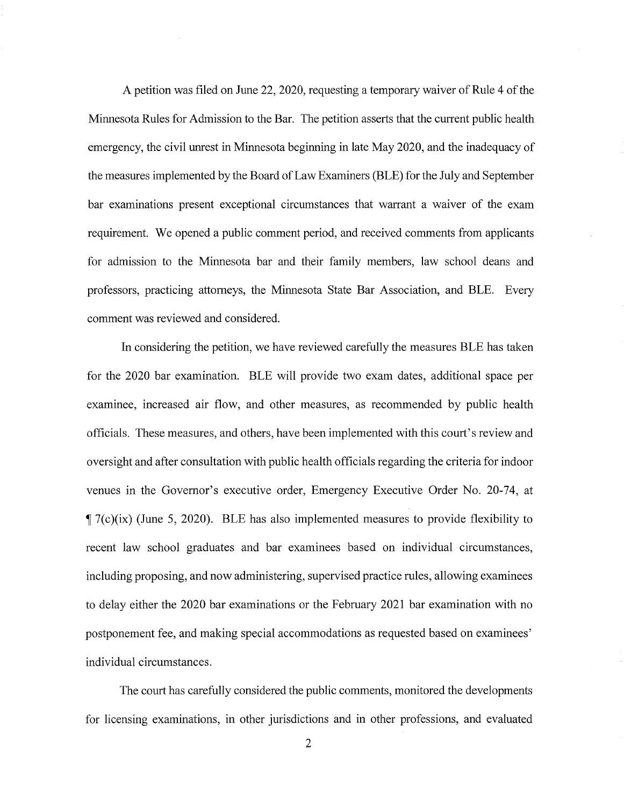A petition was filed on June 22, 2020, requesting a temporary waiver of Rule 4 of the Minnesota Rules for Admission to the Bar. The petition asserts that the current public health emergency, the civil unrest in Minnesota beginning in late May 2020, and the inadequacy of the measures implemented by the Board of Law Examiners (BLE) for the July and September bar examinations present exceptional circumstances that warrant a waiver of the exam requirement. We opened a public comment period, and received comments from applicants for admission to the Minnesota bar and their family members, law school deans and professors, practicing attorneys, the Minnesota State Bar Association, and BLE. Every comment was reviewed and considered.

In considering the petition, we have reviewed carefully the measures BLE has taken for the 2020 bar examination. BLE will provide two exam dates, additional space per examinee, increased air flow, and other measures, as recommended by public health officials. These measures, and others, have been implemented with this court's review and oversight and after consultation with public health officials regarding the criteria for indoor venues in the Governor's executive order, Emergency Executive Order No. 20-74, at  $\P$  7(c)(ix) (June 5, 2020). BLE has also implemented measures to provide flexibility to recent law school graduates and bar examinees based on individual circumstances, including proposing, and now administering, supervised practice rules, allowing examinees to delay either the 2020 bar examinations or the February 2021 bar examination with no postponement fee, and making special accommodations as requested based on examinees' individual circumstances.

The court has carefully considered the public comments, monitored the developments for licensing examinations, in other jurisdictions and in other professions, and evaluated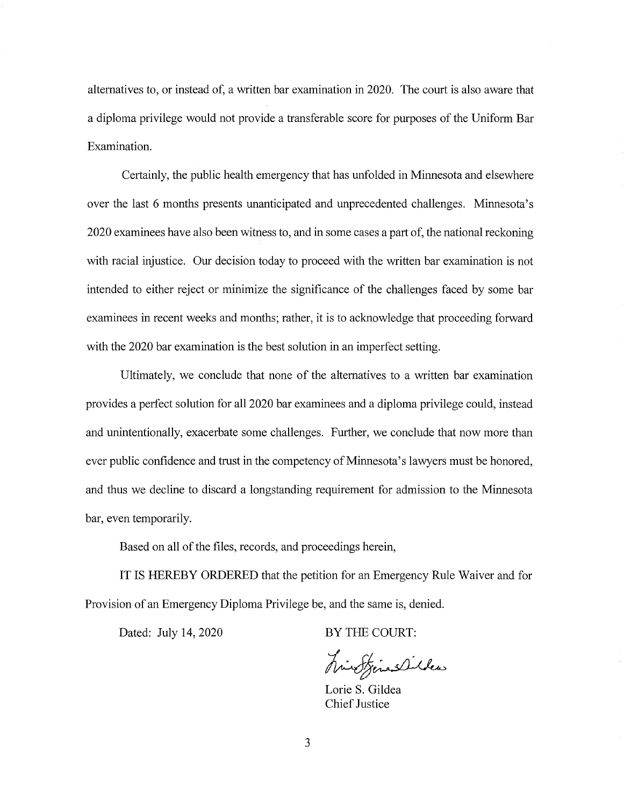alternatives to, or instead of, a written bar examination in 2020. The court is also aware that a diploma privilege would not provide a transferable score for purposes of the Uniform Bar Examination.

Certainly, the public health emergency that has unfolded in Minnesota and elsewhere over the last 6 months presents unanticipated and unprecedented challenges. Minnesota's 2020 examinees have also been witness to, and in some cases a part of, the national reckoning with racial injustice. Our decision today to proceed with the written bar examination is not intended to either reject or minimize the significance of the challenges faced by some bar examinees in recent weeks and months; rather, it is to acknowledge that proceeding forward with the 2020 bar examination is the best solution in an imperfect setting.

Ultimately, we conclude that none of the alternatives to a written bar examination provides a perfect solution for all 2020 bar examinees and a diploma privilege could, instead and unintentionally, exacerbate some challenges. Further, we conclude that now more than ever public confidence and trust in the competency of Minnesota's lawyers must be honored, and thus we decline to discard a longstanding requirement for admission to the Minnesota bar, even temporarily.

Based on all of the files, records, and proceedings herein,

IT IS HEREBY ORDERED that the petition for an Emergency Rule Waiver and for Provision of an Emergency Diploma Privilege be, and the same is, denied.

Dated: July 14, 2020

BY THE COURT:

hindfinanciles

Lorie S. Gildea Chief Justice

3